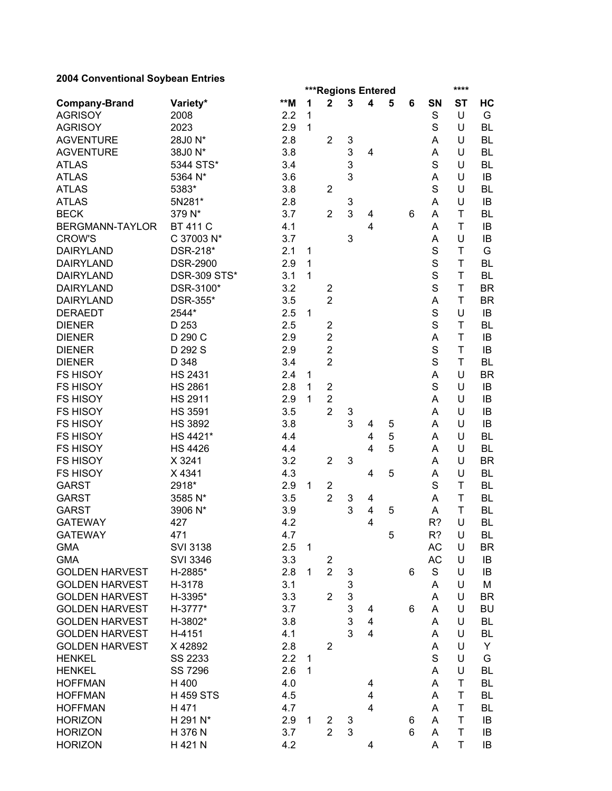## **2004 Conventional Soybean Entries**

|                        |                     | ****<br>***Regions Entered |              |                         |   |                         |   |   |             |             |           |
|------------------------|---------------------|----------------------------|--------------|-------------------------|---|-------------------------|---|---|-------------|-------------|-----------|
| <b>Company-Brand</b>   | Variety*            | $**M$                      | 1            | $\overline{\mathbf{2}}$ | 3 | 4                       | 5 | 6 | SN          | <b>ST</b>   | HC        |
| <b>AGRISOY</b>         | 2008                | 2.2                        | 1            |                         |   |                         |   |   | $\mathbf S$ | U           | G         |
| <b>AGRISOY</b>         | 2023                | 2.9                        | 1            |                         |   |                         |   |   | S           | U           | <b>BL</b> |
| <b>AGVENTURE</b>       | 28J0 N*             | 2.8                        |              | $\overline{2}$          | 3 |                         |   |   | A           | U           | <b>BL</b> |
| <b>AGVENTURE</b>       | 38J0 N*             | 3.8                        |              |                         | 3 | 4                       |   |   | A           | U           | BL        |
| <b>ATLAS</b>           | 5344 STS*           | 3.4                        |              |                         | 3 |                         |   |   | $\mathsf S$ | U           | <b>BL</b> |
| <b>ATLAS</b>           | 5364 N*             | 3.6                        |              |                         | 3 |                         |   |   | A           | U           | IB        |
| <b>ATLAS</b>           | 5383*               | 3.8                        |              | $\overline{2}$          |   |                         |   |   | S           | U           | <b>BL</b> |
| <b>ATLAS</b>           | 5N281*              | 2.8                        |              |                         | 3 |                         |   |   | A           | U           | IB        |
| <b>BECK</b>            | 379 N*              | 3.7                        |              | $\overline{2}$          | 3 | 4                       |   | 6 | Α           | T           | <b>BL</b> |
| <b>BERGMANN-TAYLOR</b> | <b>BT 411 C</b>     | 4.1                        |              |                         |   | 4                       |   |   | A           | Τ           | IB        |
| <b>CROW'S</b>          | C 37003 N*          | 3.7                        |              |                         | 3 |                         |   |   | A           | U           | IB        |
| <b>DAIRYLAND</b>       | DSR-218*            | 2.1                        | 1            |                         |   |                         |   |   | S           | T           | G         |
| <b>DAIRYLAND</b>       | <b>DSR-2900</b>     | 2.9                        | 1            |                         |   |                         |   |   | $\mathbf S$ | T           | <b>BL</b> |
| <b>DAIRYLAND</b>       | <b>DSR-309 STS*</b> | 3.1                        | 1            |                         |   |                         |   |   | $\mathbf S$ | T           | <b>BL</b> |
| <b>DAIRYLAND</b>       | DSR-3100*           | 3.2                        |              | $\overline{2}$          |   |                         |   |   | S           | T           | <b>BR</b> |
| <b>DAIRYLAND</b>       | DSR-355*            | 3.5                        |              | $\overline{2}$          |   |                         |   |   | A           | Τ           | <b>BR</b> |
| <b>DERAEDT</b>         | 2544*               | 2.5                        | 1            |                         |   |                         |   |   | S           | U           | IB        |
| <b>DIENER</b>          | D 253               | 2.5                        |              | $\overline{\mathbf{c}}$ |   |                         |   |   | $\mathsf S$ | T           | <b>BL</b> |
| <b>DIENER</b>          | D 290 C             | 2.9                        |              | $\overline{c}$          |   |                         |   |   | A           | T           | IB        |
| <b>DIENER</b>          | D 292 S             | 2.9                        |              | $\overline{c}$          |   |                         |   |   | $\mathbf S$ | T           | IB        |
| <b>DIENER</b>          | D 348               | 3.4                        |              | $\overline{2}$          |   |                         |   |   | $\mathsf S$ | T           | <b>BL</b> |
| <b>FS HISOY</b>        | <b>HS 2431</b>      | 2.4                        | 1            |                         |   |                         |   |   | A           | U           | <b>BR</b> |
| <b>FS HISOY</b>        | <b>HS 2861</b>      | 2.8                        | 1            | $\overline{2}$          |   |                         |   |   | S           | U           | IB        |
| <b>FS HISOY</b>        | <b>HS 2911</b>      | 2.9                        | 1            | $\mathbf 2$             |   |                         |   |   | A           | U           | IB        |
| <b>FS HISOY</b>        | <b>HS 3591</b>      | 3.5                        |              | $\overline{2}$          | 3 |                         |   |   | A           | U           | IB        |
| <b>FS HISOY</b>        | <b>HS 3892</b>      | 3.8                        |              |                         | 3 | 4                       | 5 |   | Α           | U           | IB        |
| <b>FS HISOY</b>        | HS 4421*            | 4.4                        |              |                         |   | 4                       | 5 |   | A           | U           | <b>BL</b> |
| <b>FS HISOY</b>        | <b>HS 4426</b>      | 4.4                        |              |                         |   | 4                       | 5 |   | A           | U           | BL        |
| <b>FS HISOY</b>        | X 3241              | 3.2                        |              | $\overline{2}$          | 3 |                         |   |   | A           | U           | <b>BR</b> |
| <b>FS HISOY</b>        | X4341               | 4.3                        |              |                         |   | 4                       | 5 |   | A           | U           | <b>BL</b> |
| <b>GARST</b>           | 2918*               | 2.9                        | 1            | 2                       |   |                         |   |   | S           | T           | <b>BL</b> |
| <b>GARST</b>           | 3585 N*             | 3.5                        |              | $\overline{2}$          | 3 | 4                       |   |   | A           | Τ           | <b>BL</b> |
| <b>GARST</b>           | 3906 N*             | 3.9                        |              |                         | 3 | 4                       | 5 |   | A           | Τ           | BL        |
| <b>GATEWAY</b>         | 427                 | 4.2                        |              |                         |   | 4                       |   |   | R?          | U           | <b>BL</b> |
| <b>GATEWAY</b>         | 471                 | 4.7                        |              |                         |   |                         | 5 |   | R?          | U           | BL        |
| <b>GMA</b>             | <b>SVI 3138</b>     | 2.5                        | $\mathbf{1}$ |                         |   |                         |   |   | AC          | U           | <b>BR</b> |
| <b>GMA</b>             | SVI 3346            | 3.3                        |              | $\overline{\mathbf{c}}$ |   |                         |   |   | <b>AC</b>   | U           | IB        |
| <b>GOLDEN HARVEST</b>  | H-2885*             | 2.8                        | 1            | $\overline{2}$          | 3 |                         |   | 6 | S           | U           | IB        |
| <b>GOLDEN HARVEST</b>  | H-3178              | 3.1                        |              |                         | 3 |                         |   |   | A           | U           | M         |
| <b>GOLDEN HARVEST</b>  | H-3395*             | 3.3                        |              | $\overline{2}$          | 3 |                         |   |   | A           | U           | <b>BR</b> |
| <b>GOLDEN HARVEST</b>  | H-3777*             | 3.7                        |              |                         | 3 | 4                       |   | 6 | A           | U           | <b>BU</b> |
| <b>GOLDEN HARVEST</b>  | H-3802*             | 3.8                        |              |                         | 3 | 4                       |   |   | A           | U           | <b>BL</b> |
| <b>GOLDEN HARVEST</b>  | H-4151              | 4.1                        |              |                         | 3 | $\overline{\mathbf{4}}$ |   |   | A           | U           | BL        |
| <b>GOLDEN HARVEST</b>  | X42892              | 2.8                        |              | $\overline{2}$          |   |                         |   |   | A           | U           | Y         |
| <b>HENKEL</b>          | SS 2233             | 2.2                        | 1            |                         |   |                         |   |   | $\mathsf S$ | U           | G         |
| <b>HENKEL</b>          | SS 7296             | 2.6                        | 1            |                         |   |                         |   |   | A           | U           | BL        |
| <b>HOFFMAN</b>         | H 400               | 4.0                        |              |                         |   | 4                       |   |   | A           | T           | BL        |
| <b>HOFFMAN</b>         | <b>H459 STS</b>     | 4.5                        |              |                         |   | 4                       |   |   | A           | Τ           | <b>BL</b> |
| <b>HOFFMAN</b>         | H 471               | 4.7                        |              |                         |   | 4                       |   |   | A           | Τ           | BL        |
| <b>HORIZON</b>         | H 291 N*            | 2.9                        | 1            | $\overline{\mathbf{c}}$ | 3 |                         |   | 6 | A           | T           | IB        |
| <b>HORIZON</b>         | H 376 N             | 3.7                        |              | $\overline{2}$          | 3 |                         |   | 6 | A           | $\mathsf T$ | IB        |
| <b>HORIZON</b>         | H 421 N             | 4.2                        |              |                         |   | 4                       |   |   | Α           | T           | IB        |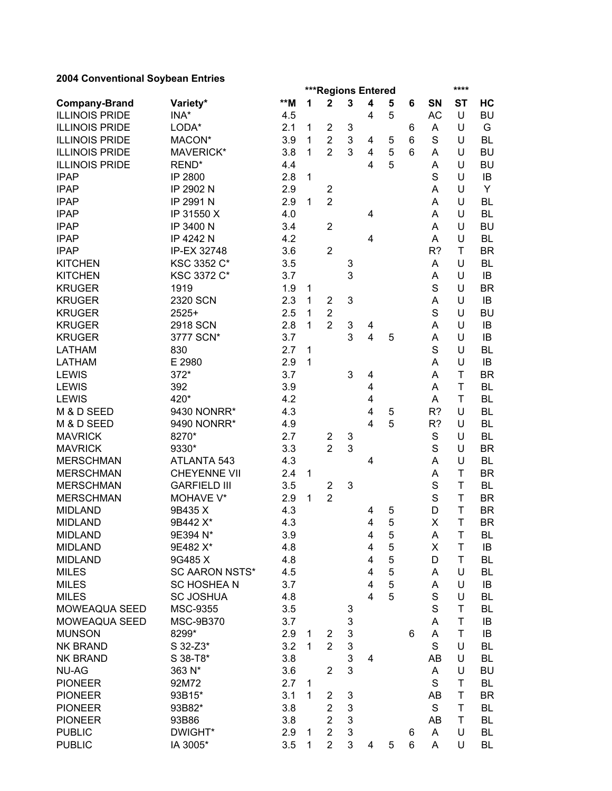## **2004 Conventional Soybean Entries**

|                       |                       |       | ****<br><b>***Regions Entered</b> |                         |              |   |   |       |             |             |           |  |  |
|-----------------------|-----------------------|-------|-----------------------------------|-------------------------|--------------|---|---|-------|-------------|-------------|-----------|--|--|
| <b>Company-Brand</b>  | Variety*              | $**M$ | 1                                 | $\mathbf 2$             | 3            | 4 | 5 | 6     | <b>SN</b>   | <b>ST</b>   | HC        |  |  |
| <b>ILLINOIS PRIDE</b> | INA*                  | 4.5   |                                   |                         |              | 4 | 5 |       | AC          | U           | <b>BU</b> |  |  |
| <b>ILLINOIS PRIDE</b> | LODA*                 | 2.1   | 1                                 | 2                       | 3            |   |   | 6     | A           | U           | G         |  |  |
| <b>ILLINOIS PRIDE</b> | MACON*                | 3.9   | 1                                 | $\overline{2}$          | 3            | 4 | 5 | 6     | S           | U           | <b>BL</b> |  |  |
| <b>ILLINOIS PRIDE</b> | <b>MAVERICK*</b>      | 3.8   | 1                                 | $\overline{2}$          | 3            | 4 | 5 | 6     | Α           | U           | <b>BU</b> |  |  |
| <b>ILLINOIS PRIDE</b> | REND*                 | 4.4   |                                   |                         |              | 4 | 5 |       | Α           | U           | <b>BU</b> |  |  |
| <b>IPAP</b>           | IP 2800               | 2.8   | 1                                 |                         |              |   |   |       | $\mathsf S$ | U           | IB        |  |  |
| <b>IPAP</b>           | IP 2902 N             | 2.9   |                                   | $\overline{\mathbf{c}}$ |              |   |   |       | A           | U           | Y         |  |  |
| <b>IPAP</b>           | IP 2991 N             | 2.9   | 1                                 | $\overline{2}$          |              |   |   |       | A           | U           | <b>BL</b> |  |  |
| <b>IPAP</b>           | IP 31550 X            | 4.0   |                                   |                         |              | 4 |   |       | A           | U           | <b>BL</b> |  |  |
| <b>IPAP</b>           | IP 3400 N             | 3.4   |                                   | $\overline{2}$          |              |   |   |       | A           | U           | <b>BU</b> |  |  |
| <b>IPAP</b>           | IP 4242 N             | 4.2   |                                   |                         |              | 4 |   |       | Α           | U           | <b>BL</b> |  |  |
| <b>IPAP</b>           | IP-EX 32748           | 3.6   |                                   | $\overline{2}$          |              |   |   |       | R?          | Τ           | <b>BR</b> |  |  |
| <b>KITCHEN</b>        | KSC 3352 C*           | 3.5   |                                   |                         | 3            |   |   |       | A           | U           | <b>BL</b> |  |  |
| <b>KITCHEN</b>        | KSC 3372 C*           | 3.7   |                                   |                         | 3            |   |   |       | Α           | U           | IB        |  |  |
| <b>KRUGER</b>         | 1919                  | 1.9   | 1                                 |                         |              |   |   |       | S           | U           | <b>BR</b> |  |  |
| <b>KRUGER</b>         | 2320 SCN              | 2.3   | 1                                 | 2                       | 3            |   |   |       | Α           | U           | IB        |  |  |
| <b>KRUGER</b>         | $2525+$               | 2.5   | 1                                 | $\overline{2}$          |              |   |   |       | S           | U           | <b>BU</b> |  |  |
| <b>KRUGER</b>         | 2918 SCN              | 2.8   | 1                                 | $\overline{2}$          | 3            | 4 |   |       | A           | U           | IB        |  |  |
| <b>KRUGER</b>         | 3777 SCN*             | 3.7   |                                   |                         | 3            | 4 | 5 |       | A           | U           | IB        |  |  |
| <b>LATHAM</b>         | 830                   | 2.7   | 1                                 |                         |              |   |   |       | $\mathbf S$ | U           | <b>BL</b> |  |  |
| <b>LATHAM</b>         | E 2980                | 2.9   | 1                                 |                         |              |   |   |       | A           | U           | IB        |  |  |
| <b>LEWIS</b>          | 372*                  | 3.7   |                                   |                         | 3            | 4 |   |       | A           | T           | <b>BR</b> |  |  |
| <b>LEWIS</b>          | 392                   | 3.9   |                                   |                         |              | 4 |   |       | A           | T           | <b>BL</b> |  |  |
| <b>LEWIS</b>          | 420*                  | 4.2   |                                   |                         |              | 4 |   |       | A           | T           | <b>BL</b> |  |  |
| M & D SEED            | 9430 NONRR*           | 4.3   |                                   |                         |              | 4 | 5 |       | R?          | U           | <b>BL</b> |  |  |
| M & D SEED            | 9490 NONRR*           | 4.9   |                                   |                         |              | 4 | 5 |       | R?          | U           | <b>BL</b> |  |  |
| <b>MAVRICK</b>        | 8270*                 | 2.7   |                                   | 2                       | 3            |   |   |       | $\mathbf S$ | U           | <b>BL</b> |  |  |
| <b>MAVRICK</b>        | 9330*                 | 3.3   |                                   | $\overline{2}$          | 3            |   |   |       | S           | U           | <b>BR</b> |  |  |
| <b>MERSCHMAN</b>      | ATLANTA 543           | 4.3   |                                   |                         |              | 4 |   |       | Α           | U           | <b>BL</b> |  |  |
| <b>MERSCHMAN</b>      | <b>CHEYENNE VII</b>   | 2.4   | 1                                 |                         |              |   |   |       | A           | T           | <b>BR</b> |  |  |
| <b>MERSCHMAN</b>      | <b>GARFIELD III</b>   | 3.5   |                                   | $\overline{c}$          | 3            |   |   |       | S           | T           | <b>BL</b> |  |  |
| <b>MERSCHMAN</b>      | MOHAVE V*             | 2.9   | 1                                 | $\overline{2}$          |              |   |   |       | S           | Τ           | <b>BR</b> |  |  |
| <b>MIDLAND</b>        | 9B435 X               | 4.3   |                                   |                         |              | 4 | 5 |       | D           | T           | <b>BR</b> |  |  |
| <b>MIDLAND</b>        | 9B442 X*              | 4.3   |                                   |                         |              | 4 | 5 |       | X           | T           | <b>BR</b> |  |  |
| <b>MIDLAND</b>        | 9E394 N*              | 3.9   |                                   |                         |              | 4 | 5 |       | A           | Τ           | BL        |  |  |
| <b>MIDLAND</b>        | 9E482 X*              | 4.8   |                                   |                         |              | 4 | 5 |       | X           | $\mathsf T$ | IB        |  |  |
| <b>MIDLAND</b>        | 9G485 X               | 4.8   |                                   |                         |              | 4 | 5 |       | D           | T.          | BL        |  |  |
| <b>MILES</b>          | <b>SC AARON NSTS*</b> | 4.5   |                                   |                         |              | 4 | 5 |       | A           | U           | <b>BL</b> |  |  |
| <b>MILES</b>          | <b>SC HOSHEAN</b>     | 3.7   |                                   |                         |              | 4 | 5 |       | A           | U           | IB        |  |  |
| <b>MILES</b>          | <b>SC JOSHUA</b>      | 4.8   |                                   |                         |              | 4 | 5 |       | S           | U           | <b>BL</b> |  |  |
| MOWEAQUA SEED         | MSC-9355              | 3.5   |                                   |                         | 3            |   |   |       | S           | T           | <b>BL</b> |  |  |
| MOWEAQUA SEED         | <b>MSC-9B370</b>      | 3.7   |                                   |                         | 3            |   |   |       | A           | T           | IB        |  |  |
| <b>MUNSON</b>         | 8299*                 | 2.9   | 1                                 | $\overline{\mathbf{c}}$ | 3            |   |   | 6     | A           | Τ           | IB        |  |  |
| <b>NK BRAND</b>       | S 32-Z3*              | 3.2   | $\mathbf{1}$                      | $\overline{2}$          | 3            |   |   |       | S           | U           | BL        |  |  |
| <b>NK BRAND</b>       | S 38-T8*              | 3.8   |                                   |                         | 3            | 4 |   |       | AB          | U           | <b>BL</b> |  |  |
| <b>NU-AG</b>          | 363 N*                | 3.6   |                                   | $\overline{2}$          | 3            |   |   |       | A           | U           | <b>BU</b> |  |  |
| <b>PIONEER</b>        | 92M72                 | 2.7   | 1                                 |                         |              |   |   |       | S           | T           | <b>BL</b> |  |  |
| <b>PIONEER</b>        | 93B15*                | 3.1   | 1                                 | $\overline{c}$          | 3            |   |   |       | AB          | Τ           | <b>BR</b> |  |  |
| <b>PIONEER</b>        | 93B82*                | 3.8   |                                   | $\overline{2}$          | $\mathbf{3}$ |   |   |       | S           | $\mathsf T$ | BL        |  |  |
| <b>PIONEER</b>        | 93B86                 | 3.8   |                                   | $\overline{2}$          | 3            |   |   |       | AB          | T           | BL        |  |  |
| <b>PUBLIC</b>         | DWIGHT*               | 2.9   | 1                                 | $\overline{2}$          | 3            |   |   | 6     | A           | U           | BL        |  |  |
| <b>PUBLIC</b>         | IA 3005*              | 3.5   | 1                                 | $\overline{2}$          | 3            | 4 | 5 | $\,6$ | A           | U           | BL        |  |  |